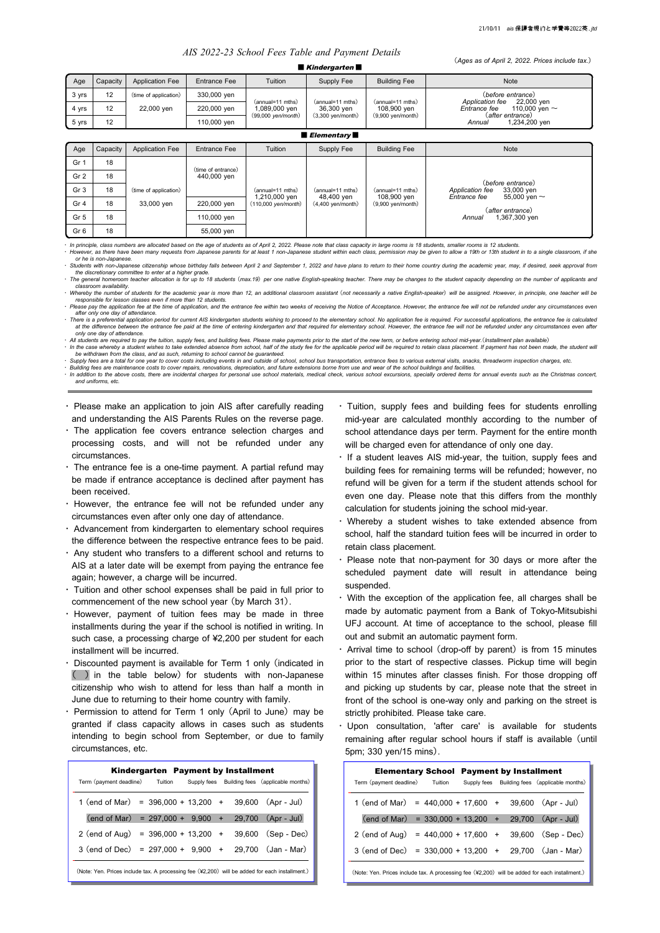(*Ages as of April 2, 2022. Prices include tax.*)

# *AIS 2022-23 School Fees Table and Payment Details*

| $\sqrt{2}$ and $\sqrt{2}$ . $\sqrt{2}$ and $\sqrt{2}$ is the set of $\sqrt{2}$ is the set of $\sqrt{2}$ is the set of $\sqrt{2}$<br>$\blacksquare$ Kindergarten $\blacksquare$ |          |                        |                                   |                                   |                                                       |                                                        |                                                                    |  |  |
|--------------------------------------------------------------------------------------------------------------------------------------------------------------------------------|----------|------------------------|-----------------------------------|-----------------------------------|-------------------------------------------------------|--------------------------------------------------------|--------------------------------------------------------------------|--|--|
| Age                                                                                                                                                                            | Capacity | <b>Application Fee</b> | Entrance Fee                      | Tuition                           | Supply Fee                                            | <b>Building Fee</b>                                    | Note                                                               |  |  |
| 3 yrs                                                                                                                                                                          | 12       | (time of application)  | 330,000 yen                       |                                   |                                                       |                                                        | (before entrance)<br>Application fee<br>22,000 yen                 |  |  |
| 4 yrs                                                                                                                                                                          | 12       | 22,000 yen             | 220,000 yen                       | (annual=11 mths)<br>1,089,000 yen | (annual=11 mths)<br>36,300 yen<br>$(3,300$ yen/month) | (annual=11 mths)<br>108,900 yen<br>$(9,900$ yen/month) | Entrance fee<br>110,000 yen $\sim$<br>(after entrance)             |  |  |
| 5 yrs                                                                                                                                                                          | 12       |                        | 110,000 yen                       | (99,000 yen/month)                |                                                       |                                                        | 1,234,200 yen<br>Annual                                            |  |  |
| $\blacksquare$ Elementary $\blacksquare$                                                                                                                                       |          |                        |                                   |                                   |                                                       |                                                        |                                                                    |  |  |
| Age                                                                                                                                                                            | Capacity | <b>Application Fee</b> | <b>Entrance Fee</b>               | Tuition                           | Supply Fee                                            | <b>Building Fee</b>                                    | Note                                                               |  |  |
| Gr <sub>1</sub>                                                                                                                                                                | 18       |                        |                                   |                                   |                                                       |                                                        |                                                                    |  |  |
| Gr 2                                                                                                                                                                           | 18       |                        | (time of entrance)<br>440,000 yen |                                   |                                                       |                                                        | (before entrance)                                                  |  |  |
| Gr <sub>3</sub>                                                                                                                                                                | 18       | (time of application)  |                                   | (annual=11 mths)<br>1,210,000 yen | (annual=11 mths)                                      | (annual=11 mths)                                       | 33,000 yen<br>Application fee<br>Entrance fee<br>55,000 yen $\sim$ |  |  |
| Gr <sub>4</sub>                                                                                                                                                                | 18       | 33,000 yen             | 220,000 yen                       | (110,000 yen/month)               | 48,400 yen<br>$(4,400$ yen/month)                     | 108,900 yen<br>$(9,900$ yen/month)                     | (after entrance)                                                   |  |  |
| Gr <sub>5</sub>                                                                                                                                                                | 18       |                        | 110,000 yen                       |                                   |                                                       |                                                        | 1,367,300 yen<br>Annual                                            |  |  |
| Gr <sub>6</sub>                                                                                                                                                                | 18       |                        | 55,000 yen                        |                                   |                                                       |                                                        |                                                                    |  |  |

· In principle, class numbers are allocated based on the age of students as of April 2, 2022. Please note that class capacity in large rooms is 18 students, smaller rooms is 12 students.<br>· However, as there have been many

*or he is non-Japanese.* Students with non-Japanese citizenship whose birthday falls between April 2 and September 1, 2022 and have plans to return to their home country during the academic year, may, if desired, seek approval from *the discretionary committee to enter at a higher grade.*

ocomination is for up to the students (max.19) per one native English-speaking teacher. There may be changes to the student capacity depending on the number of applicants and norm teacher allocation is for up to 18 studen *classroom availability.*

Whereby the number of students for the academic year is more than 12, an additional classroom assistant (not necessarily a native English-speaker) will be assigned. However, in principle, one teacher will be >>> responsibl

· Please pay the application fee at the time of application, and the entrance fee within two weeks of receiving the Notice of Acceptance. However, the entrance fee will not be refunded under any circumstances even *after only one day of attendance.*

There is a preferential application period for current AIS kindergarten students wishing to proceed to the elementary school. No application fee is required. For successful applications, the entrance fee is calculated inte *only one day of attendance.*

and the state of the state of the futbol supply fees and building fees. Please make payments prior to the start of the new term or before entering school mid-vear (Installment plan available) In the case whereby a student wishes to take extended absence from school. half of the study fee for the anolicable period will be required to retain class placement. If nayment has not been made, the student will be the s

be withdrawn from the class, and as such, returning to school cannot be guaranteed.<br>Supply fees are a total for one year to cover costs including events in and outside of school, school bus transportation, entrance fees to

Building fees are maintenance costs to cover repairs, renovations, depreciation, and future extensions borne from use and wear of the school buildings and facilities.<br>· In addition to the above costs, there are incidental *and uniforms, etc.*

・ Please make an application to join AIS after carefully reading and understanding the AIS Parents Rules on the reverse page.

- ・ The application fee covers entrance selection charges and processing costs, and will not be refunded under any circumstances.
- ・ The entrance fee is a one-time payment. A partial refund may be made if entrance acceptance is declined after payment has been received.
- ・ However, the entrance fee will not be refunded under any circumstances even after only one day of attendance.
- ・ Advancement from kindergarten to elementary school requires the difference between the respective entrance fees to be paid.
- ・ Any student who transfers to a different school and returns to AIS at a later date will be exempt from paying the entrance fee again; however, a charge will be incurred.
- ・ Tuition and other school expenses shall be paid in full prior to commencement of the new school year (by March 31).
- ・ However, payment of tuition fees may be made in three installments during the year if the school is notified in writing. In such case, a processing charge of ¥2,200 per student for each installment will be incurred.
- ・ Discounted payment is available for Term 1 only (indicated in ( ) in the table below) for students with non-Japanese citizenship who wish to attend for less than half a month in June due to returning to their home country with family.
- $\cdot$  Permission to attend for Term 1 only (April to June) may be granted if class capacity allows in cases such as students intending to begin school from September, or due to family circumstances, etc.

| Kindergarten Payment by Installment                                                            |  |  |  |  |                                               |  |  |
|------------------------------------------------------------------------------------------------|--|--|--|--|-----------------------------------------------|--|--|
| Term (payment deadline) Tuition                                                                |  |  |  |  | Supply fees Building fees (applicable months) |  |  |
| $1$ (end of Mar) = $396,000 + 13,200 + 39,600$ (Apr - Jul)                                     |  |  |  |  |                                               |  |  |
| $\text{(end of Mar)} = 297,000 + 9,900 + 29,700 \text{(Apr - Jul)}$                            |  |  |  |  |                                               |  |  |
| $2 \text{ (end of Aug)} = 396,000 + 13,200 + 39,600 \text{ (Sep - Dec)}$                       |  |  |  |  |                                               |  |  |
| $3$ (end of Dec) = 297,000 + 9,900 + 29,700 (Jan - Mar)                                        |  |  |  |  |                                               |  |  |
| (Note: Yen. Prices include tax. A processing fee (¥2,200) will be added for each installment.) |  |  |  |  |                                               |  |  |

- ・ Tuition, supply fees and building fees for students enrolling mid-year are calculated monthly according to the number of school attendance days per term. Payment for the entire month will be charged even for attendance of only one day.
- ・ If a student leaves AIS mid-year, the tuition, supply fees and building fees for remaining terms will be refunded; however, no refund will be given for a term if the student attends school for even one day. Please note that this differs from the monthly calculation for students joining the school mid-year.
- ・ Whereby a student wishes to take extended absence from school, half the standard tuition fees will be incurred in order to retain class placement.
- Please note that non-payment for 30 days or more after the scheduled payment date will result in attendance being suspended.
- ・ With the exception of the application fee, all charges shall be made by automatic payment from a Bank of Tokyo-Mitsubishi UFJ account. At time of acceptance to the school, please fill out and submit an automatic payment form.
- ・ Arrival time to school (drop-off by parent) is from 15 minutes prior to the start of respective classes. Pickup time will begin within 15 minutes after classes finish. For those dropping off and picking up students by car, please note that the street in front of the school is one-way only and parking on the street is strictly prohibited. Please take care.
- ・ Upon consultation, 'after care' is available for students remaining after regular school hours if staff is available (until 5pm; 330 yen/15 mins).

| Term (payment deadline) Tuition                                                                | <b>Elementary School Payment by Installment</b> |  |  | Supply fees Building fees (applicable months) |  |  |
|------------------------------------------------------------------------------------------------|-------------------------------------------------|--|--|-----------------------------------------------|--|--|
| 1 (end of Mar) = $440,000 + 17,600 + 39,600$ (Apr - Jul)                                       |                                                 |  |  |                                               |  |  |
| $\text{(end of Mar)} = 330,000 + 13,200 + 29,700 \text{ (Apr - Jul)}$                          |                                                 |  |  |                                               |  |  |
| $2 \text{ (end of Aug)} = 440,000 + 17,600 + 39,600 \text{ (Sep - Dec)}$                       |                                                 |  |  |                                               |  |  |
| $3$ (end of Dec) = $330,000 + 13,200 + 29,700$ (Jan - Mar)                                     |                                                 |  |  |                                               |  |  |
| (Note: Yen. Prices include tax. A processing fee (¥2,200) will be added for each installment.) |                                                 |  |  |                                               |  |  |